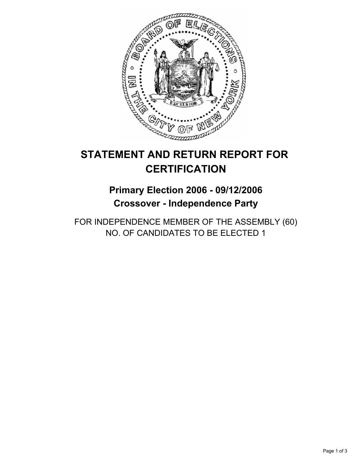

# **STATEMENT AND RETURN REPORT FOR CERTIFICATION**

# **Primary Election 2006 - 09/12/2006 Crossover - Independence Party**

FOR INDEPENDENCE MEMBER OF THE ASSEMBLY (60) NO. OF CANDIDATES TO BE ELECTED 1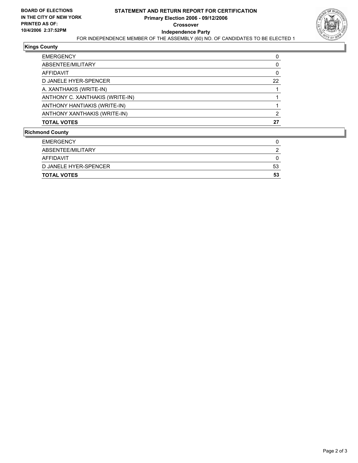

#### **Kings County**

| <b>EMERGENCY</b>                |    |
|---------------------------------|----|
| ABSENTEE/MILITARY               |    |
| AFFIDAVIT                       |    |
| D JANELE HYER-SPENCER           | 22 |
| A. XANTHAKIS (WRITE-IN)         |    |
| ANTHONY C. XANTHAKIS (WRITE-IN) |    |
| ANTHONY HANTIAKIS (WRITE-IN)    |    |
| ANTHONY XANTHAKIS (WRITE-IN)    |    |
| <b>TOTAL VOTES</b>              | 27 |
|                                 |    |

#### **Richmond County**

| 53 |
|----|
| 53 |
|    |